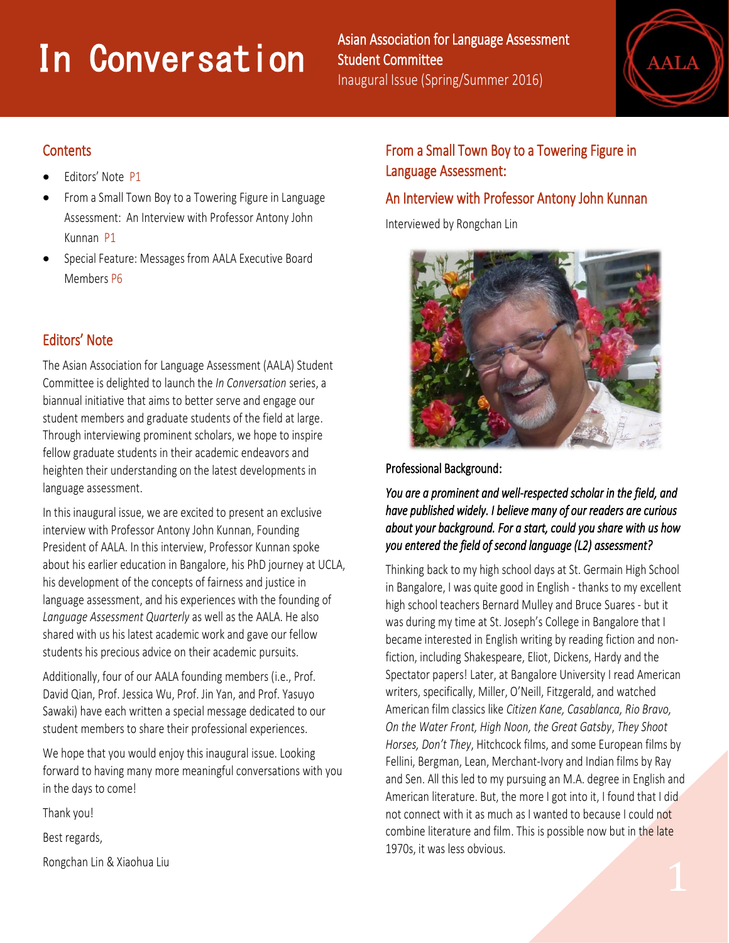# **11 Conversation**

Asian Association for Language Assessment Student Committee Inaugural Issue (Spring/Summer 2016)



## **Contents**

i<br>I

- Editors' Note P1
- From a Small Town Boy to a Towering Figure in Language Assessment: An Interview with Professor Antony John Kunnan P1
- Special Feature: Messages from AALA Executive Board Members P6

# Editors' Note

The Asian Association for Language Assessment (AALA) Student Committee is delighted to launch the *In Conversation* series, a biannual initiative that aims to better serve and engage our student members and graduate students of the field at large. Through interviewing prominent scholars, we hope to inspire fellow graduate students in their academic endeavors and heighten their understanding on the latest developments in language assessment.

In this inaugural issue, we are excited to present an exclusive interview with Professor Antony John Kunnan, Founding President of AALA. In this interview, Professor Kunnan spoke about his earlier education in Bangalore, his PhD journey at UCLA, his development of the concepts of fairness and justice in language assessment, and his experiences with the founding of *Language Assessment Quarterly* as well as the AALA. He also shared with us his latest academic work and gave our fellow students his precious advice on their academic pursuits.

Additionally, four of our AALA founding members (i.e., Prof. David Qian, Prof. Jessica Wu, Prof. Jin Yan, and Prof. Yasuyo Sawaki) have each written a special message dedicated to our student members to share their professional experiences.

We hope that you would enjoy this inaugural issue. Looking forward to having many more meaningful conversations with you in the days to come!

Thank you!

Best regards,

Rongchan Lin & Xiaohua Liu

# From a Small Town Boy to a Towering Figure in Language Assessment:

## An Interview with Professor Antony John Kunnan

Interviewed by Rongchan Lin



#### Professional Background:

*You are a prominent and well-respected scholar in the field, and have published widely. I believe many of our readers are curious about your background. For a start, could you share with us how you entered the field of second language (L2) assessment?* 

Thinking back to my high school days at St. Germain High School in Bangalore, I was quite good in English - thanks to my excellent high school teachers Bernard Mulley and Bruce Suares - but it was during my time at St. Joseph's College in Bangalore that I became interested in English writing by reading fiction and nonfiction, including Shakespeare, Eliot, Dickens, Hardy and the Spectator papers! Later, at Bangalore University I read American writers, specifically, Miller, O'Neill, Fitzgerald, and watched American film classics like *Citizen Kane, Casablanca, Rio Bravo, On the Water Front, High Noon, the Great Gatsby*, *They Shoot Horses, Don't They*, Hitchcock films, and some European films by Fellini, Bergman, Lean, Merchant-Ivory and Indian films by Ray and Sen. All this led to my pursuing an M.A. degree in English and American literature. But, the more I got into it, I found that I did not connect with it as much as I wanted to because I could not combine literature and film. This is possible now but in the late 1970s, it was less obvious.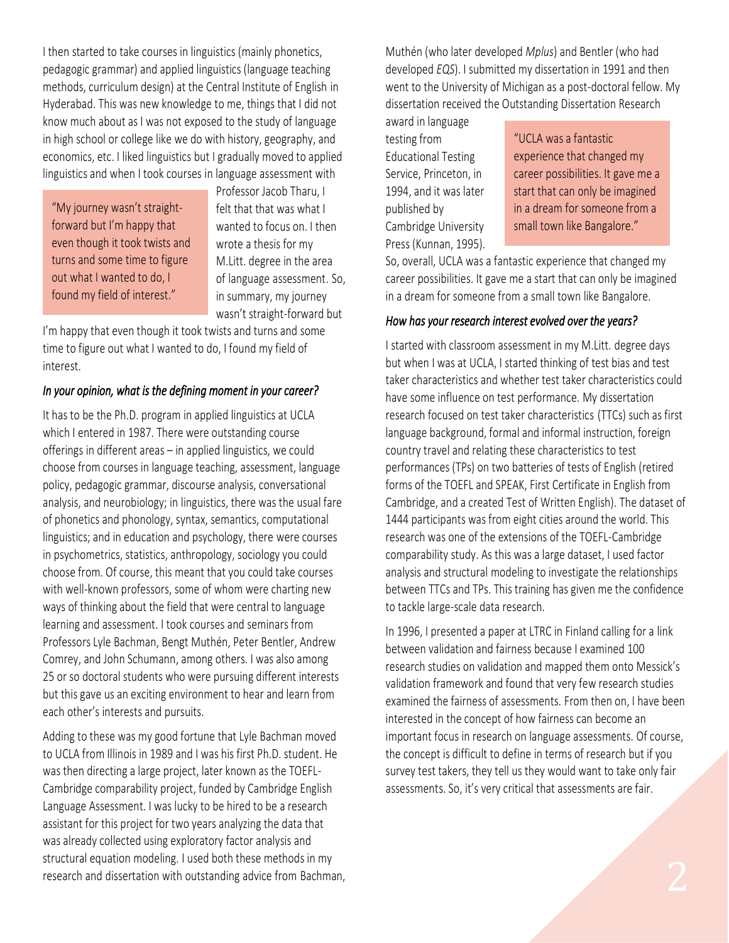I then started to take courses in linguistics (mainly phonetics, pedagogic grammar) and applied linguistics (language teaching methods, curriculum design) at the Central Institute of English in Hyderabad. This was new knowledge to me, things that I did not know much about as I was not exposed to the study of language in high school or college like we do with history, geography, and economics, etc. I liked linguistics but I gradually moved to applied linguistics and when I took courses in language assessment with

"My journey wasn't straightforward but I'm happy that even though it took twists and turns and some time to figure out what I wanted to do, I found my field of interest."

Professor Jacob Tharu, I felt that that was what I wanted to focus on. I then wrote a thesis for my M.Litt. degree in the area of language assessment. So, in summary, my journey wasn't straight-forward but

I'm happy that even though it took twists and turns and some time to figure out what I wanted to do, I found my field of interest.

#### *In your opinion, what is the defining moment in your career?*

It has to be the Ph.D. program in applied linguistics at UCLA which I entered in 1987. There were outstanding course offerings in different areas – in applied linguistics, we could choose from courses in language teaching, assessment, language policy, pedagogic grammar, discourse analysis, conversational analysis, and neurobiology; in linguistics, there was the usual fare of phonetics and phonology, syntax, semantics, computational linguistics; and in education and psychology, there were courses in psychometrics, statistics, anthropology, sociology you could choose from. Of course, this meant that you could take courses with well-known professors, some of whom were charting new ways of thinking about the field that were central to language learning and assessment. I took courses and seminars from Professors Lyle Bachman, Bengt Muthén, Peter Bentler, Andrew Comrey, and John Schumann, among others. I was also among 25 or so doctoral students who were pursuing different interests but this gave us an exciting environment to hear and learn from each other's interests and pursuits.

Adding to these was my good fortune that Lyle Bachman moved to UCLA from Illinois in 1989 and I was his first Ph.D. student. He was then directing a large project, later known as the TOEFL-Cambridge comparability project, funded by Cambridge English Language Assessment. I was lucky to be hired to be a research assistant for this project for two years analyzing the data that was already collected using exploratory factor analysis and structural equation modeling. I used both these methods in my research and dissertation with outstanding advice from Bachman, Muthén (who later developed *Mplus*) and Bentler (who had developed *EQS*). I submitted my dissertation in 1991 and then went to the University of Michigan as a post-doctoral fellow. My dissertation received the Outstanding Dissertation Research

award in language testing from Educational Testing Service, Princeton, in 1994, and it was later published by Cambridge University Press (Kunnan, 1995).

"UCLA was a fantastic experience that changed my career possibilities. It gave me a start that can only be imagined in a dream for someone from a small town like Bangalore."

So, overall, UCLA was a fantastic experience that changed my career possibilities. It gave me a start that can only be imagined in a dream for someone from a small town like Bangalore.

#### *How has your research interest evolved over the years?*

I started with classroom assessment in my M.Litt. degree days but when I was at UCLA, I started thinking of test bias and test taker characteristics and whether test taker characteristics could have some influence on test performance. My dissertation research focused on test taker characteristics (TTCs) such as first language background, formal and informal instruction, foreign country travel and relating these characteristics to test performances (TPs) on two batteries of tests of English (retired forms of the TOEFL and SPEAK, First Certificate in English from Cambridge, and a created Test of Written English). The dataset of 1444 participants was from eight cities around the world. This research was one of the extensions of the TOEFL-Cambridge comparability study. As this was a large dataset, I used factor analysis and structural modeling to investigate the relationships between TTCs and TPs. This training has given me the confidence to tackle large-scale data research.

In 1996, I presented a paper at LTRC in Finland calling for a link between validation and fairness because I examined 100 research studies on validation and mapped them onto Messick's validation framework and found that very few research studies examined the fairness of assessments. From then on, I have been interested in the concept of how fairness can become an important focus in research on language assessments. Of course, the concept is difficult to define in terms of research but if you survey test takers, they tell us they would want to take only fair assessments. So, it's very critical that assessments are fair.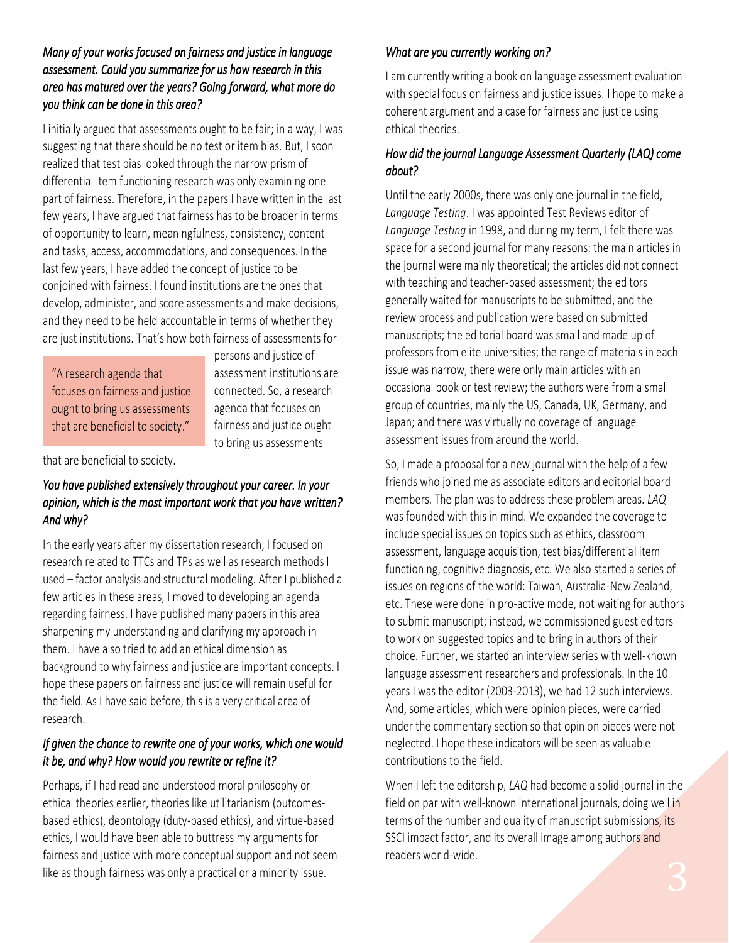## *Many of your works focused on fairness and justice in language assessment. Could you summarize for us how research in this area has matured over the years? Going forward, what more do you think can be done in this area?*

I initially argued that assessments ought to be fair; in a way, I was suggesting that there should be no test or item bias. But, I soon realized that test bias looked through the narrow prism of differential item functioning research was only examining one part of fairness. Therefore, in the papers I have written in the last few years, I have argued that fairness has to be broader in terms of opportunity to learn, meaningfulness, consistency, content and tasks, access, accommodations, and consequences. In the last few years, I have added the concept of justice to be conjoined with fairness. I found institutions are the ones that develop, administer, and score assessments and make decisions, and they need to be held accountable in terms of whether they are just institutions. That's how both fairness of assessments for

"A research agenda that focuses on fairness and justice ought to bring us assessments that are beneficial to society."

persons and justice of assessment institutions are connected. So, a research agenda that focuses on fairness and justice ought to bring us assessments

that are beneficial to society.

#### *You have published extensively throughout your career. In your opinion, which is the most important work that you have written? And why?*

In the early years after my dissertation research, I focused on research related to TTCs and TPs as well as research methods I used – factor analysis and structural modeling. After I published a few articles in these areas, I moved to developing an agenda regarding fairness. I have published many papers in this area sharpening my understanding and clarifying my approach in them. I have also tried to add an ethical dimension as background to why fairness and justice are important concepts. I hope these papers on fairness and justice will remain useful for the field. As I have said before, this is a very critical area of research.

## *If given the chance to rewrite one of your works, which one would it be, and why? How would you rewrite or refine it?*

Perhaps, if I had read and understood moral philosophy or ethical theories earlier, theories like utilitarianism (outcomesbased ethics), deontology (duty-based ethics), and virtue-based ethics, I would have been able to buttress my arguments for fairness and justice with more conceptual support and not seem like as though fairness was only a practical or a minority issue.

## *What are you currently working on?*

I am currently writing a book on language assessment evaluation with special focus on fairness and justice issues. I hope to make a coherent argument and a case for fairness and justice using ethical theories.

#### *How did the journal Language Assessment Quarterly (LAQ) come about?*

Until the early 2000s, there was only one journal in the field, *Language Testing*. I was appointed Test Reviews editor of *Language Testing* in 1998, and during my term, I felt there was space for a second journal for many reasons: the main articles in the journal were mainly theoretical; the articles did not connect with teaching and teacher-based assessment; the editors generally waited for manuscripts to be submitted, and the review process and publication were based on submitted manuscripts; the editorial board was small and made up of professors from elite universities; the range of materials in each issue was narrow, there were only main articles with an occasional book or test review; the authors were from a small group of countries, mainly the US, Canada, UK, Germany, and Japan; and there was virtually no coverage of language assessment issues from around the world.

So, I made a proposal for a new journal with the help of a few friends who joined me as associate editors and editorial board members. The plan was to address these problem areas. *LAQ* was founded with this in mind. We expanded the coverage to include special issues on topics such as ethics, classroom assessment, language acquisition, test bias/differential item functioning, cognitive diagnosis, etc. We also started a series of issues on regions of the world: Taiwan, Australia-New Zealand, etc. These were done in pro-active mode, not waiting for authors to submit manuscript; instead, we commissioned guest editors to work on suggested topics and to bring in authors of their choice. Further, we started an interview series with well-known language assessment researchers and professionals. In the 10 years I was the editor (2003-2013), we had 12 such interviews. And, some articles, which were opinion pieces, were carried under the commentary section so that opinion pieces were not neglected. I hope these indicators will be seen as valuable contributions to the field.

When I left the editorship, *LAQ* had become a solid journal in the field on par with well-known international journals, doing well in terms of the number and quality of manuscript submissions, its SSCI impact factor, and its overall image among authors and readers world-wide.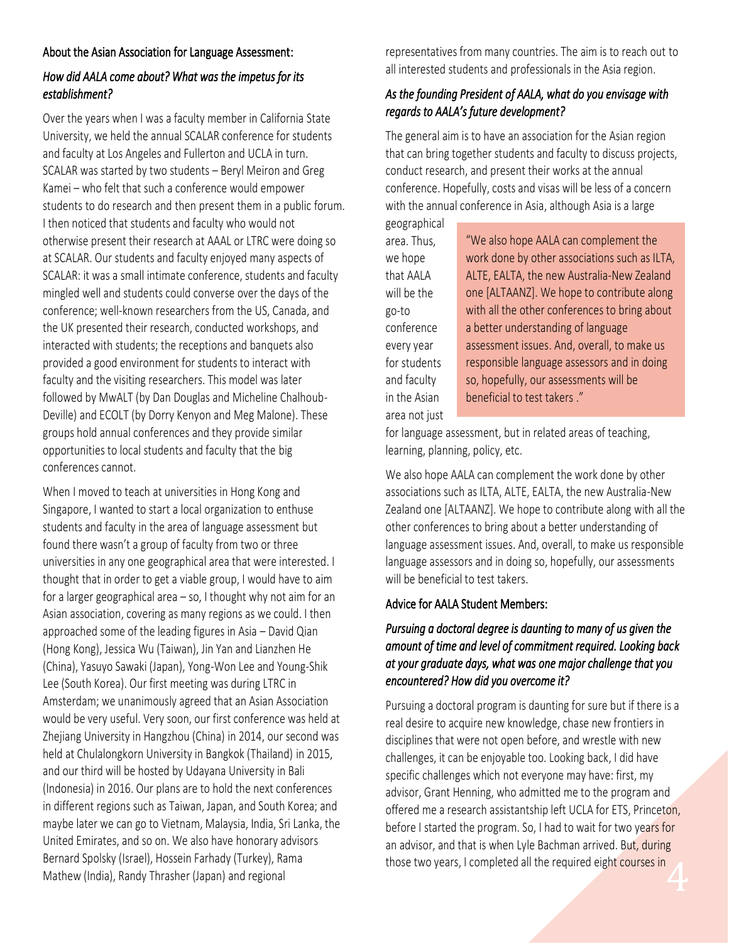#### About the Asian Association for Language Assessment:

## *How did AALA come about? What was the impetus for its establishment?*

Over the years when I was a faculty member in California State University, we held the annual SCALAR conference for students and faculty at Los Angeles and Fullerton and UCLA in turn. SCALAR was started by two students – Beryl Meiron and Greg Kamei – who felt that such a conference would empower students to do research and then present them in a public forum. I then noticed that students and faculty who would not otherwise present their research at AAAL or LTRC were doing so at SCALAR. Our students and faculty enjoyed many aspects of SCALAR: it was a small intimate conference, students and faculty mingled well and students could converse over the days of the conference; well-known researchers from the US, Canada, and the UK presented their research, conducted workshops, and interacted with students; the receptions and banquets also provided a good environment for students to interact with faculty and the visiting researchers. This model was later followed by MwALT (by Dan Douglas and Micheline Chalhoub-Deville) and ECOLT (by Dorry Kenyon and Meg Malone). These groups hold annual conferences and they provide similar opportunities to local students and faculty that the big conferences cannot.

When I moved to teach at universities in Hong Kong and Singapore, I wanted to start a local organization to enthuse students and faculty in the area of language assessment but found there wasn't a group of faculty from two or three universities in any one geographical area that were interested. I thought that in order to get a viable group, I would have to aim for a larger geographical area – so, I thought why not aim for an Asian association, covering as many regions as we could. I then approached some of the leading figures in Asia – David Qian (Hong Kong), Jessica Wu (Taiwan), Jin Yan and Lianzhen He (China), Yasuyo Sawaki (Japan), Yong-Won Lee and Young-Shik Lee (South Korea). Our first meeting was during LTRC in Amsterdam; we unanimously agreed that an Asian Association would be very useful. Very soon, our first conference was held at Zhejiang University in Hangzhou (China) in 2014, our second was held at Chulalongkorn University in Bangkok (Thailand) in 2015, and our third will be hosted by Udayana University in Bali (Indonesia) in 2016. Our plans are to hold the next conferences in different regions such as Taiwan, Japan, and South Korea; and maybe later we can go to Vietnam, Malaysia, India, Sri Lanka, the United Emirates, and so on. We also have honorary advisors Bernard Spolsky (Israel), Hossein Farhady (Turkey), Rama Mathew (India), Randy Thrasher (Japan) and regional

representatives from many countries. The aim is to reach out to all interested students and professionals in the Asia region.

#### *As the founding President of AALA, what do you envisage with regards to AALA's future development?*

The general aim is to have an association for the Asian region that can bring together students and faculty to discuss projects, conduct research, and present their works at the annual conference. Hopefully, costs and visas will be less of a concern with the annual conference in Asia, although Asia is a large

geographical area. Thus, we hope that AALA will be the go-to conference every year for students and faculty in the Asian area not just

"We also hope AALA can complement the work done by other associations such as ILTA, ALTE, EALTA, the new Australia-New Zealand one [ALTAANZ]. We hope to contribute along with all the other conferences to bring about a better understanding of language assessment issues. And, overall, to make us responsible language assessors and in doing so, hopefully, our assessments will be beneficial to test takers ."

for language assessment, but in related areas of teaching, learning, planning, policy, etc.

We also hope AALA can complement the work done by other associations such as ILTA, ALTE, EALTA, the new Australia-New Zealand one [ALTAANZ]. We hope to contribute along with all the other conferences to bring about a better understanding of language assessment issues. And, overall, to make us responsible language assessors and in doing so, hopefully, our assessments will be beneficial to test takers.

#### Advice for AALA Student Members:

### *Pursuing a doctoral degree is daunting to many of us given the amount of time and level of commitment required. Looking back at your graduate days, what was one major challenge that you encountered? How did you overcome it?*

Pursuing a doctoral program is daunting for sure but if there is a real desire to acquire new knowledge, chase new frontiers in disciplines that were not open before, and wrestle with new challenges, it can be enjoyable too. Looking back, I did have specific challenges which not everyone may have: first, my advisor, Grant Henning, who admitted me to the program and offered me a research assistantship left UCLA for ETS, Princeton, before I started the program. So, I had to wait for two years for an advisor, and that is when Lyle Bachman arrived. But, during those two years, I completed all the required eight courses in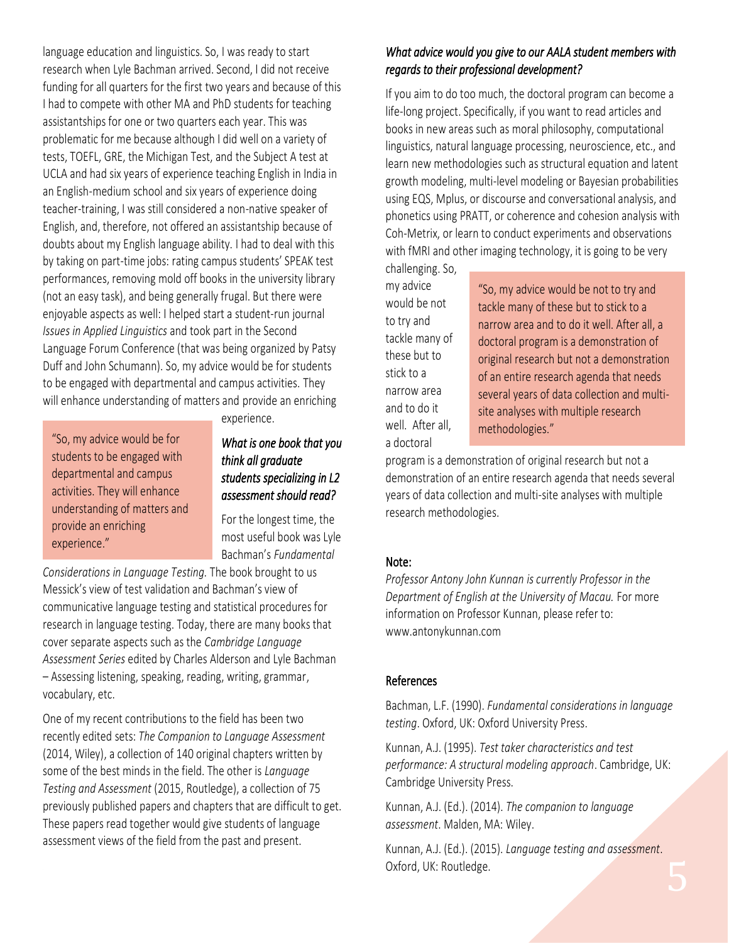language education and linguistics. So, I was ready to start research when Lyle Bachman arrived. Second, I did not receive funding for all quarters for the first two years and because of this I had to compete with other MA and PhD students for teaching assistantships for one or two quarters each year. This was problematic for me because although I did well on a variety of tests, TOEFL, GRE, the Michigan Test, and the Subject A test at UCLA and had six years of experience teaching English in India in an English-medium school and six years of experience doing teacher-training, I was still considered a non-native speaker of English, and, therefore, not offered an assistantship because of doubts about my English language ability. I had to deal with this by taking on part-time jobs: rating campus students' SPEAK test performances, removing mold off books in the university library (not an easy task), and being generally frugal. But there were enjoyable aspects as well: I helped start a student-run journal *Issues in Applied Linguistics* and took part in the Second Language Forum Conference (that was being organized by Patsy Duff and John Schumann). So, my advice would be for students to be engaged with departmental and campus activities. They will enhance understanding of matters and provide an enriching

"So, my advice would be for students to be engaged with departmental and campus activities. They will enhance understanding of matters and provide an enriching experience."

experience.

#### *What is one book that you think all graduate students specializing in L2 assessment should read?*

For the longest time, the most useful book was Lyle Bachman's *Fundamental* 

*Considerations in Language Testing.* The book brought to us Messick's view of test validation and Bachman's view of communicative language testing and statistical procedures for research in language testing. Today, there are many books that cover separate aspects such as the *Cambridge Language Assessment Series* edited by Charles Alderson and Lyle Bachman – Assessing listening, speaking, reading, writing, grammar, vocabulary, etc.

One of my recent contributions to the field has been two recently edited sets: *The Companion to Language Assessment* (2014, Wiley), a collection of 140 original chapters written by some of the best minds in the field. The other is *Language Testing and Assessment* (2015, Routledge), a collection of 75 previously published papers and chapters that are difficult to get. These papers read together would give students of language assessment views of the field from the past and present.

#### *What advice would you give to our AALA student members with regards to their professional development?*

If you aim to do too much, the doctoral program can become a life-long project. Specifically, if you want to read articles and books in new areas such as moral philosophy, computational linguistics, natural language processing, neuroscience, etc., and learn new methodologies such as structural equation and latent growth modeling, multi-level modeling or Bayesian probabilities using EQS, Mplus, or discourse and conversational analysis, and phonetics using PRATT, or coherence and cohesion analysis with Coh-Metrix, or learn to conduct experiments and observations with fMRI and other imaging technology, it is going to be very

challenging. So, my advice would be not to try and tackle many of these but to stick to a narrow area and to do it well. After all, a doctoral

"So, my advice would be not to try and tackle many of these but to stick to a narrow area and to do it well. After all, a doctoral program is a demonstration of original research but not a demonstration of an entire research agenda that needs several years of data collection and multisite analyses with multiple research methodologies."

program is a demonstration of original research but not a demonstration of an entire research agenda that needs several years of data collection and multi-site analyses with multiple research methodologies.

#### Note:

*Professor Antony John Kunnan is currently Professor in the Department of English at the University of Macau.* For more information on Professor Kunnan, please refer to: www.antonykunnan.com

#### References

Bachman, L.F. (1990). *Fundamental considerations in language testing*. Oxford, UK: Oxford University Press.

Kunnan, A.J. (1995). *Test taker characteristics and test performance: A structural modeling approach*. Cambridge, UK: Cambridge University Press.

Kunnan, A.J. (Ed.). (2014). *The companion to language assessment*. Malden, MA: Wiley.

Kunnan, A.J. (Ed.). (2015). *Language testing and assessment*. Oxford, UK: Routledge.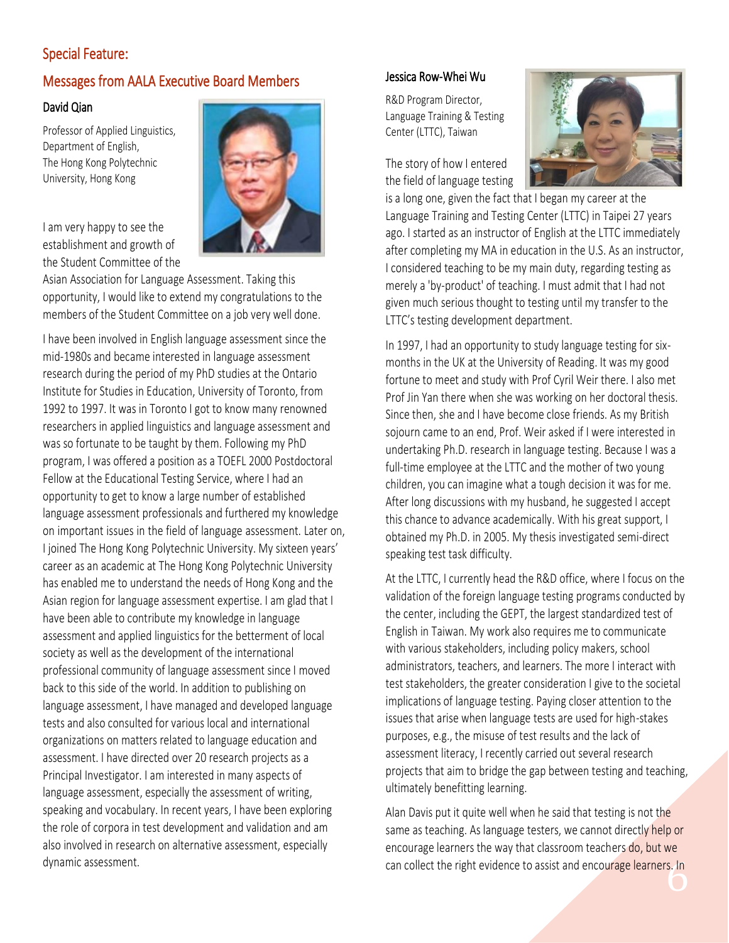## Special Feature:

## Messages from AALA Executive Board Members

#### David Qian

Professor of Applied Linguistics, Department of English, The Hong Kong Polytechnic University, Hong Kong



I am very happy to see the establishment and growth of the Student Committee of the

Asian Association for Language Assessment. Taking this opportunity, I would like to extend my congratulations to the members of the Student Committee on a job very well done.

I have been involved in English language assessment since the mid-1980s and became interested in language assessment research during the period of my PhD studies at the Ontario Institute for Studies in Education, University of Toronto, from 1992 to 1997. It was in Toronto I got to know many renowned researchers in applied linguistics and language assessment and was so fortunate to be taught by them. Following my PhD program, I was offered a position as a TOEFL 2000 Postdoctoral Fellow at the Educational Testing Service, where I had an opportunity to get to know a large number of established language assessment professionals and furthered my knowledge on important issues in the field of language assessment. Later on, I joined The Hong Kong Polytechnic University. My sixteen years' career as an academic at The Hong Kong Polytechnic University has enabled me to understand the needs of Hong Kong and the Asian region for language assessment expertise. I am glad that I have been able to contribute my knowledge in language assessment and applied linguistics for the betterment of local society as well as the development of the international professional community of language assessment since I moved back to this side of the world. In addition to publishing on language assessment, I have managed and developed language tests and also consulted for various local and international organizations on matters related to language education and assessment. I have directed over 20 research projects as a Principal Investigator. I am interested in many aspects of language assessment, especially the assessment of writing, speaking and vocabulary. In recent years, I have been exploring the role of corpora in test development and validation and am also involved in research on alternative assessment, especially dynamic assessment.

#### Jessica Row-Whei Wu

R&D Program Director, Language Training & Testing Center (LTTC), Taiwan

The story of how I entered the field of language testing



is a long one, given the fact that I began my career at the Language Training and Testing Center (LTTC) in Taipei 27 years ago. I started as an instructor of English at the LTTC immediately after completing my MA in education in the U.S. As an instructor, I considered teaching to be my main duty, regarding testing as merely a 'by-product' of teaching. I must admit that I had not given much serious thought to testing until my transfer to the LTTC's testing development department.

In 1997, I had an opportunity to study language testing for sixmonths in the UK at the University of Reading. It was my good fortune to meet and study with Prof Cyril Weir there. I also met Prof Jin Yan there when she was working on her doctoral thesis. Since then, she and I have become close friends. As my British sojourn came to an end, Prof. Weir asked if I were interested in undertaking Ph.D. research in language testing. Because I was a full-time employee at the LTTC and the mother of two young children, you can imagine what a tough decision it was for me. After long discussions with my husband, he suggested I accept this chance to advance academically. With his great support, I obtained my Ph.D. in 2005. My thesis investigated semi-direct speaking test task difficulty.

At the LTTC, I currently head the R&D office, where I focus on the validation of the foreign language testing programs conducted by the center, including the GEPT, the largest standardized test of English in Taiwan. My work also requires me to communicate with various stakeholders, including policy makers, school administrators, teachers, and learners. The more I interact with test stakeholders, the greater consideration I give to the societal implications of language testing. Paying closer attention to the issues that arise when language tests are used for high-stakes purposes, e.g., the misuse of test results and the lack of assessment literacy, I recently carried out several research projects that aim to bridge the gap between testing and teaching, ultimately benefitting learning.

can collect the right evidence to assist and encourage learners. In<br> **Example 2** Alan Davis put it quite well when he said that testing is not the same as teaching. As language testers, we cannot directly help or encourage learners the way that classroom teachers do, but we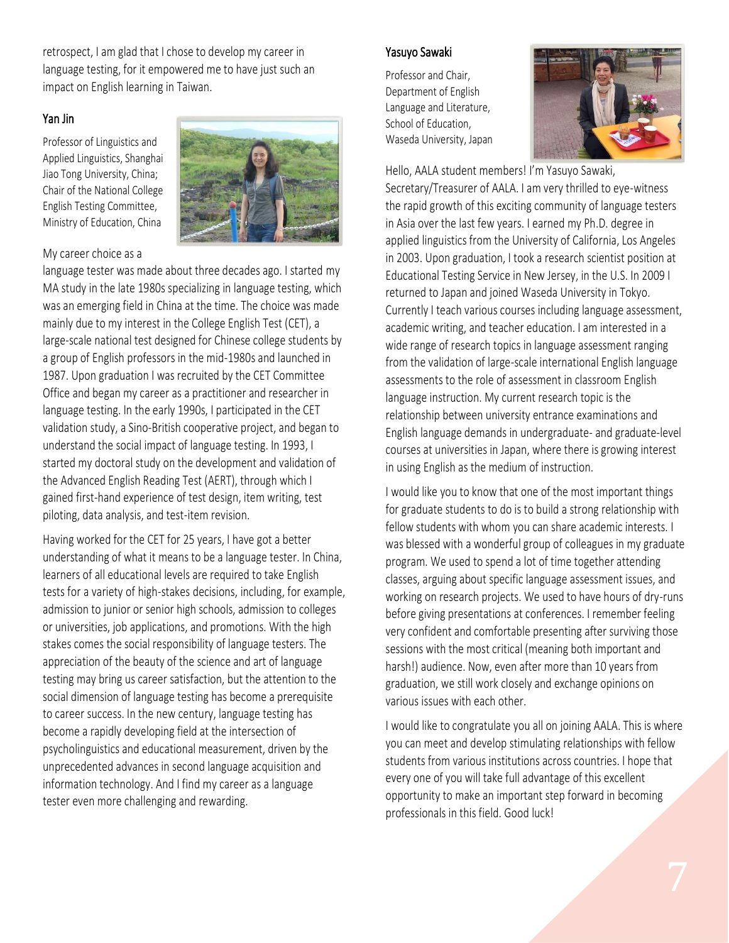retrospect, I am glad that I chose to develop my career in language testing, for it empowered me to have just such an impact on English learning in Taiwan.

#### Yan Jin

Professor of Linguistics and Applied Linguistics, Shanghai Jiao Tong University, China; Chair of the National College English Testing Committee, Ministry of Education, China



#### My career choice as a

language tester was made about three decades ago. I started my MA study in the late 1980s specializing in language testing, which was an emerging field in China at the time. The choice was made mainly due to my interest in the College English Test (CET), a large-scale national test designed for Chinese college students by a group of English professors in the mid-1980s and launched in 1987. Upon graduation I was recruited by the CET Committee Office and began my career as a practitioner and researcher in language testing. In the early 1990s, I participated in the CET validation study, a Sino-British cooperative project, and began to understand the social impact of language testing. In 1993, I started my doctoral study on the development and validation of the Advanced English Reading Test (AERT), through which I gained first-hand experience of test design, item writing, test piloting, data analysis, and test-item revision.

Having worked for the CET for 25 years, I have got a better understanding of what it means to be a language tester. In China, learners of all educational levels are required to take English tests for a variety of high-stakes decisions, including, for example, admission to junior or senior high schools, admission to colleges or universities, job applications, and promotions. With the high stakes comes the social responsibility of language testers. The appreciation of the beauty of the science and art of language testing may bring us career satisfaction, but the attention to the social dimension of language testing has become a prerequisite to career success. In the new century, language testing has become a rapidly developing field at the intersection of psycholinguistics and educational measurement, driven by the unprecedented advances in second language acquisition and information technology. And I find my career as a language tester even more challenging and rewarding.

#### Yasuyo Sawaki

Professor and Chair, Department of English Language and Literature, School of Education, Waseda University, Japan



Hello, AALA student members! I'm Yasuyo Sawaki,

Secretary/Treasurer of AALA. I am very thrilled to eye-witness the rapid growth of this exciting community of language testers in Asia over the last few years. I earned my Ph.D. degree in applied linguistics from the University of California, Los Angeles in 2003. Upon graduation, I took a research scientist position at Educational Testing Service in New Jersey, in the U.S. In 2009 I returned to Japan and joined Waseda University in Tokyo. Currently I teach various courses including language assessment, academic writing, and teacher education. I am interested in a wide range of research topics in language assessment ranging from the validation of large-scale international English language assessments to the role of assessment in classroom English language instruction. My current research topic is the relationship between university entrance examinations and English language demands in undergraduate- and graduate-level courses at universities in Japan, where there is growing interest in using English as the medium of instruction.

I would like you to know that one of the most important things for graduate students to do is to build a strong relationship with fellow students with whom you can share academic interests. I was blessed with a wonderful group of colleagues in my graduate program. We used to spend a lot of time together attending classes, arguing about specific language assessment issues, and working on research projects. We used to have hours of dry-runs before giving presentations at conferences. I remember feeling very confident and comfortable presenting after surviving those sessions with the most critical (meaning both important and harsh!) audience. Now, even after more than 10 years from graduation, we still work closely and exchange opinions on various issues with each other.

I would like to congratulate you all on joining AALA. This is where you can meet and develop stimulating relationships with fellow students from various institutions across countries. I hope that every one of you will take full advantage of this excellent opportunity to make an important step forward in becoming professionals in this field. Good luck!